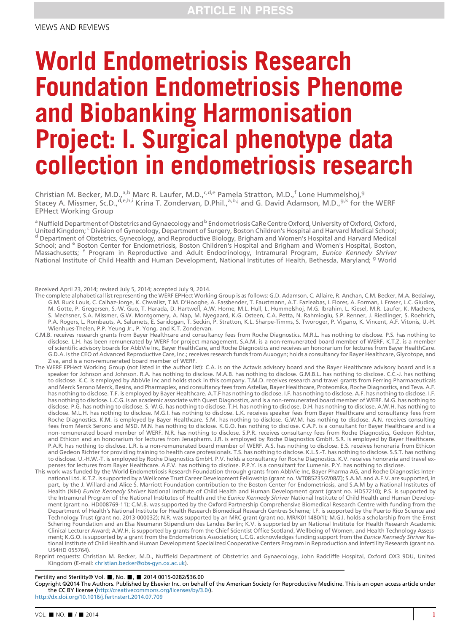# World Endometriosis Research Foundation Endometriosis Phenome and Biobanking Harmonisation Project: I. Surgical phenotype data collection in endometriosis research

Christian M. Becker, M.D.,<sup>a,b</sup> Marc R. Laufer, M.D.,<sup>c,d,e</sup> Pamela Stratton, M.D.,<sup>f</sup> Lone Hummelshoj,<sup>g</sup> Stacey A. Missmer, Sc.D., <sup>d,e,h,i</sup> Krina T. Zondervan, D.Phil.,<sup>a,b,j</sup> and G. David Adamson, M.D., <sup>g,k</sup> for the WERF EPHect Working Group

<sup>a</sup> Nuffield Department of Obstetrics and Gynaecology and <sup>b</sup> Endometriosis CaRe Centre Oxford, University of Oxford, Oxford,<br>United Kingdom; <sup>c</sup> Division of Gynecology, Department of Surgery, Boston Children's Hospital an d Department of Obstetrics, Gynecology, and Reproductive Biology, Brigham and Women's Hospital and Harvard Medical School; and <sup>e</sup> Boston Center for Endometriosis, Boston Children's Hospital and Brigham and Women's Hospital, Boston, Massachusetts; <sup>f</sup> Program in Reproductive and Adult Endocrinology, Intramural Program, Eunice Kennedy Shriver National Institute of Child Health and Human Development, National Institutes of Health, Bethesda, Maryland; <sup>g</sup> World

Received April 23, 2014; revised July 5, 2014; accepted July 9, 2014.

- The complete alphabetical list representing the WERF EPHect Working Group is as follows: G.D. Adamson, C. Allaire, R. Anchan, C.M. Becker, M.A. Bedaiwy,<br>G.M. Buck Louis, C. Calhaz-Jorge, K. Chwalisz, T.M. D'Hooghe, A. Fass M. Gotte, P. Gregersen, S.-W. Guo, T. Harada, D. Hartwell, A.W. Horne, M.L. Hull, L. Hummelshoj, M.G. Ibrahim, L. Kiesel, M.R. Laufer, K. Machens, S. Mechsner, S.A. Missmer, G.W. Montgomery, A. Nap, M. Nyegaard, K.G. Osteen, C.A. Petta, N. Rahmioglu, S.P. Renner, J. Riedlinger, S. Roehrich, P.A. Rogers, L. Rombauts, A. Salumets, E. Saridogan, T. Seckin, P. Stratton, K.L. Sharpe-Timms, S. Tworoger, P. Vigano, K. Vincent, A.F. Vitonis, U.-H. Wienhues-Thelen, P.P. Yeung Jr., P. Yong, and K.T. Zondervan.
- C.M.B. receives research grants from Bayer Healthcare and consultancy fees from Roche Diagnostics. M.R.L. has nothing to disclose. P.S. has nothing to disclose. L.H. has been remunerated by WERF for project management. S.A.M. is a non-remunerated board member of WERF. K.T.Z. is a member of scientific advisory boards for AbbVie Inc, Bayer HealthCare, and Roche Diagnostics and receives an honorarium for lectures from Bayer HealthCare. G.D.A. is the CEO of Advanced Reproductive Care, Inc.; receives research funds from Auxogyn; holds a consultancy for Bayer Healthcare, Glycotope, and Ziva, and is a non-remunerated board member of WERF.
- The WERF EPHect Working Group (not listed in the author list): C.A. is on the Actavis advisory board and the Bayer Healthcare advisory board and is a<br>speaker for Johnson and Johnson. R.A. has nothing to disclose. M.A.B. ha to disclose. K.C. is employed by AbbVie Inc and holds stock in this company. T.M.D. receives research and travel grants from Ferring Pharmaceuticals and Merck Serono Merck, Besins, and Pharmaplex, and consultancy fees from Astellas, Bayer Healthcare, Proteomika, Roche Diagnostics, and Teva. A.F. has nothing to disclose. T.F. is employed by Bayer Healthcare. A.T.F has nothing to disclose. I.F. has nothing to disclose. A.F. has nothing to disclose. I.F. has nothing to disclose. L.C.G. is an academic associate with Quest Diagnostics, and is a non-remunerated board member of WERF. M.G. has nothing to disclose. P.G. has nothing to disclose. S.-W.G. has nothing to disclose. T.H. has nothing to disclose. D.H. has nothing to disclose. A.W.H. has nothing to disclose. M.L.H. has nothing to disclose. M.G.I. has nothing to disclose. L.K. receives speaker fees from Bayer Healthcare and consultancy fees from Roche Diagnostics. K.M. is employed by Bayer Healthcare. S.M. has nothing to disclose. G.W.M. has nothing to disclose. A.N. receives consulting fees from Merck Serono and MSD. M.N. has nothing to disclose. K.G.O. has nothing to disclose. C.A.P. is a consultant for Bayer Healthcare and is a non-remunerated board member of WERF. N.R. has nothing to disclose. S.P.R. receives consultancy fees from Roche Diagnostics, Gedeon Richter, and Ethicon and an honorarium for lectures from Jenapharm. J.R. is employed by Roche Diagnostics GmbH. S.R. is employed by Bayer Healthcare.<br>P.A.R. has nothing to disclose. L.R. is a non-remunerated board member of WERF. A and Gedeon Richter for providing training to health care professionals. T.S. has nothing to disclose. K.L.S.-T. has nothing to disclose. S.S.T. has nothing<br>to disclose. U.-H.W.-T. is employed by Roche Diagnostics GmbH. P.V penses for lectures from Bayer Healthcare. A.F.V. has nothing to disclose. P.P.Y. is a consultant for Lumenis. P.Y. has nothing to disclose.
- This work was funded by the World Endometriosis Research Foundation through grants from AbbVie Inc, Bayer Pharma AG, and Roche Diagnostics International Ltd. K.T.Z. is supported by a Wellcome Trust Career Development Fellowship (grant no. WT085235/Z/08/Z); S.A.M. and A.F.V. are supported, in part, by the J. Willard and Alice S. Marriott Foundation contribution to the Boston Center for Endometriosis, and S.A.M by a National Institutes of Health (NIH) Eunice Kennedy Shriver National Institute of Child Health and Human Development grant (grant no. HD57210); P.S. is supported by the Intramural Program of the National Institutes of Health and the Eunice Kennedy Shriver National Institute of Child Health and Human Development (grant no. HD008769-11); C.M.B. was supported by the Oxford Partnership Comprehensive Biomedical Research Centre with funding from the Department of Health's National Institute for Health Research Biomedical Research Centres Scheme; I.F. is supported by the Puerto Rico Science and Technology Trust (grant no. 2013-000032); N.R. was supported by an MRC grant (grant no. MR/K011480/1); M.G.I. holds a scholarship from the Ernst Schering Foundation and an Elsa Neumann Stipendium des Landes Berlin; K.V. is supported by an National Institute for Health Research Academic<br>Clinical Lecturer Award; A.W.H. is supported by grants from the Chief Scientist ment; K.G.O. is supported by a grant from the Endometriosis Association; L.C.G. acknowledges funding support from the Eunice Kennedy Shriver National Institute of Child Health and Human Development Specialized Cooperative Centers Program in Reproduction and Infertility Research (grant no. U54HD 055764).
- Reprint requests: Christian M. Becker, M.D., Nuffield Department of Obstetrics and Gynaecology, John Radcliffe Hospital, Oxford OX3 9DU, United Kingdom (E-mail: christian.becker@obs-gyn.ox.ac.uk).

#### Fertility and Sterility® Vol. , No. , 2014 0015-0282/\$36.00

Copyright ©2014 The Authors. Published by Elsevier Inc. on behalf of the American Society for Reproductive Medicine. This is an open access article under the CC BY license (http://creativecommons.org/licenses/by/3.0/). http://dx.doi.org/10.1016/j.fertnstert.2014.07.709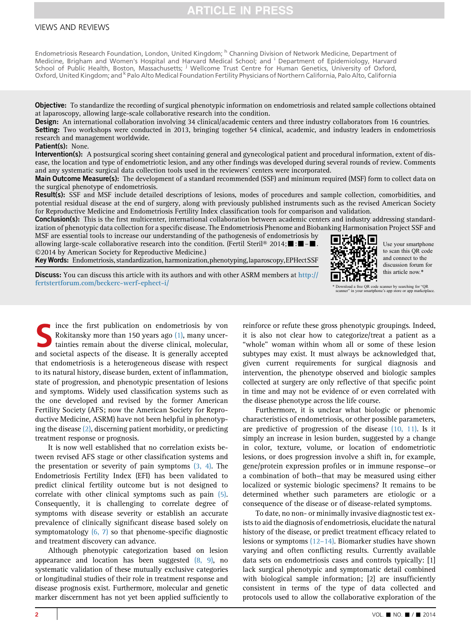#### VIEWS AND REVIEWS

Endometriosis Research Foundation, London, United Kingdom; <sup>h</sup> Channing Division of Network Medicine, Department of Medicine, Brigham and Women's Hospital and Harvard Medical School; and <sup>i</sup> Department of Epidemiology, Harvard School of Public Health, Boston, Massachusetts; <sup>j</sup> Wellcome Trust Centre for Human Genetics, University of Oxford, Oxford, United Kingdom; and <sup>k</sup> Palo Alto Medical Foundation Fertility Physicians of Northern California, Palo Alto, California

Objective: To standardize the recording of surgical phenotypic information on endometriosis and related sample collections obtained at laparoscopy, allowing large-scale collaborative research into the condition.

Design: An international collaboration involving 34 clinical/academic centers and three industry collaborators from 16 countries.

Setting: Two workshops were conducted in 2013, bringing together 54 clinical, academic, and industry leaders in endometriosis research and management worldwide.

#### Patient(s): None.

Intervention(s): A postsurgical scoring sheet containing general and gynecological patient and procedural information, extent of disease, the location and type of endometriotic lesion, and any other findings was developed during several rounds of review. Comments and any systematic surgical data collection tools used in the reviewers' centers were incorporated.

Main Outcome Measure(s): The development of a standard recommended (SSF) and minimum required (MSF) form to collect data on the surgical phenotype of endometriosis.

Result(s): SSF and MSF include detailed descriptions of lesions, modes of procedures and sample collection, comorbidities, and potential residual disease at the end of surgery, along with previously published instruments such as the revised American Society for Reproductive Medicine and Endometriosis Fertility Index classification tools for comparison and validation.

Conclusion(s): This is the first multicenter, international collaboration between academic centers and industry addressing standardization of phenotypic data collection for a specific disease. The Endometriosis Phenome and Biobanking Harmonisation Project SSF and MSF are essential tools to increase our understanding of the pathogenesis of endometriosis by

allowing large-scale collaborative research into the condition. (Fertil Steril® 2014;  $\blacksquare$ :  $\blacksquare$  - $\blacksquare$ . 2014 by American Society for Reproductive Medicine.)

Key Words: Endometriosis, standardization, harmonization, phenotyping, laparoscopy, EPHectSSF



Use your smartphone to scan this QR code and connect to the discussion forum for this article now.\*

Discuss: You can discuss this article with its authors and with other ASRM members at [http://](http://fertstertforum.com/beckerc-werf-ephect-i/) [fertstertforum.com/beckerc-werf-ephect-i/](http://fertstertforum.com/beckerc-werf-ephect-i/)

\* Download a free QR code scanner by searching for "QR scanner" in your smartphone's app store or app marketplace.

Since the first publication on endometriosis by von<br>Rokitansky more than 150 years ago (1), many uncer-<br>tainties remain about the diverse clinical, molecular,<br>and societal aspects of the disease. It is generally accepted Rokitansky more than 150 years ago [\(1\),](#page-8-0) many uncerand societal aspects of the disease. It is generally accepted that endometriosis is a heterogeneous disease with respect to its natural history, disease burden, extent of inflammation, state of progression, and phenotypic presentation of lesions and symptoms. Widely used classification systems such as the one developed and revised by the former American Fertility Society (AFS; now the American Society for Reproductive Medicine, ASRM) have not been helpful in phenotyping the disease [\(2\)](#page-8-0), discerning patient morbidity, or predicting treatment response or prognosis.

It is now well established that no correlation exists between revised AFS stage or other classification systems and the presentation or severity of pain symptoms [\(3, 4\)](#page-8-0). The Endometriosis Fertility Index (EFI) has been validated to predict clinical fertility outcome but is not designed to correlate with other clinical symptoms such as pain [\(5\).](#page-8-0) Consequently, it is challenging to correlate degree of symptoms with disease severity or establish an accurate prevalence of clinically significant disease based solely on symptomatology [\(6, 7\)](#page-8-0) so that phenome-specific diagnostic and treatment discovery can advance.

Although phenotypic categorization based on lesion appearance and location has been suggested [\(8, 9\),](#page-8-0) no systematic validation of these mutually exclusive categories or longitudinal studies of their role in treatment response and disease prognosis exist. Furthermore, molecular and genetic marker discernment has not yet been applied sufficiently to

reinforce or refute these gross phenotypic groupings. Indeed, it is also not clear how to categorize/treat a patient as a "whole" woman within whom all or some of these lesion subtypes may exist. It must always be acknowledged that, given current requirements for surgical diagnosis and intervention, the phenotype observed and biologic samples collected at surgery are only reflective of that specific point in time and may not be evidence of or even correlated with the disease phenotype across the life course.

Furthermore, it is unclear what biologic or phenomic characteristics of endometriosis, or other possible parameters, are predictive of progression of the disease [\(10, 11\)](#page-8-0). Is it simply an increase in lesion burden, suggested by a change in color, texture, volume, or location of endometriotic lesions, or does progression involve a shift in, for example, gene/protein expression profiles or in immune response—or a combination of both—that may be measured using either localized or systemic biologic specimens? It remains to be determined whether such parameters are etiologic or a consequence of the disease or of disease-related symptoms.

To date, no non- or minimally invasive diagnostic test exists to aid the diagnosis of endometriosis, elucidate the natural history of the disease, or predict treatment efficacy related to lesions or symptoms (12–[14\).](#page-8-0) Biomarker studies have shown varying and often conflicting results. Currently available data sets on endometriosis cases and controls typically: [1] lack surgical phenotypic and symptomatic detail combined with biological sample information; [2] are insufficiently consistent in terms of the type of data collected and protocols used to allow the collaborative exploration of the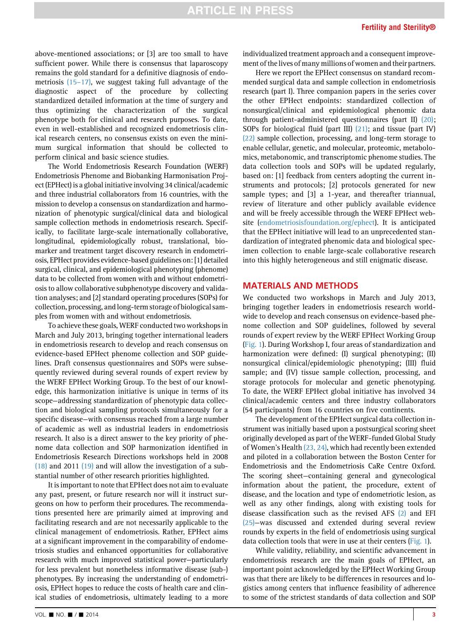above-mentioned associations; or [3] are too small to have sufficient power. While there is consensus that laparoscopy remains the gold standard for a definitive diagnosis of endometriosis [\(15](#page-8-0)–17), we suggest taking full advantage of the diagnostic aspect of the procedure by collecting standardized detailed information at the time of surgery and thus optimizing the characterization of the surgical phenotype both for clinical and research purposes. To date, even in well-established and recognized endometriosis clinical research centers, no consensus exists on even the minimum surgical information that should be collected to perform clinical and basic science studies.

The World Endometriosis Research Foundation (WERF) Endometriosis Phenome and Biobanking Harmonisation Project (EPHect) is a global initiative involving 34 clinical/academic and three industrial collaborators from 16 countries, with the mission to develop a consensus on standardization and harmonization of phenotypic surgical/clinical data and biological sample collection methods in endometriosis research. Specifically, to facilitate large-scale internationally collaborative, longitudinal, epidemiologically robust, translational, biomarker and treatment target discovery research in endometriosis, EPHect provides evidence-based guidelines on: [1] detailed surgical, clinical, and epidemiological phenotyping (phenome) data to be collected from women with and without endometriosis to allow collaborative subphenotype discovery and validation analyses; and [2] standard operating procedures (SOPs) for collection, processing, and long-term storage of biological samples from women with and without endometriosis.

To achieve these goals, WERF conducted two workshops in March and July 2013, bringing together international leaders in endometriosis research to develop and reach consensus on evidence-based EPHect phenome collection and SOP guidelines. Draft consensus questionnaires and SOPs were subsequently reviewed during several rounds of expert review by the WERF EPHect Working Group. To the best of our knowledge, this harmonization initiative is unique in terms of its scope—addressing standardization of phenotypic data collection and biological sampling protocols simultaneously for a specific disease—with consensus reached from a large number of academic as well as industrial leaders in endometriosis research. It also is a direct answer to the key priority of phenome data collection and SOP harmonization identified in Endometriosis Research Directions workshops held in 2008 [\(18\)](#page-8-0) and 2011 [\(19\)](#page-8-0) and will allow the investigation of a substantial number of other research priorities highlighted.

It is important to note that EPHect does not aim to evaluate any past, present, or future research nor will it instruct surgeons on how to perform their procedures. The recommendations presented here are primarily aimed at improving and facilitating research and are not necessarily applicable to the clinical management of endometriosis. Rather, EPHect aims at a significant improvement in the comparability of endometriosis studies and enhanced opportunities for collaborative research with much improved statistical power—particularly for less prevalent but nonetheless informative disease (sub-) phenotypes. By increasing the understanding of endometriosis, EPHect hopes to reduce the costs of health care and clinical studies of endometriosis, ultimately leading to a more

Here we report the EPHect consensus on standard recommended surgical data and sample collection in endometriosis research (part I). Three companion papers in the series cover the other EPHect endpoints: standardized collection of nonsurgical/clinical and epidemiological phenomic data through patient-administered questionnaires (part II) [\(20\)](#page-8-0); SOPs for biological fluid (part III) [\(21\);](#page-8-0) and tissue (part IV) [\(22\)](#page-8-0) sample collection, processing, and long-term storage to enable cellular, genetic, and molecular, proteomic, metabolomics, metabonomic, and transcriptomic phenome studies. The data collection tools and SOPs will be updated regularly, based on: [1] feedback from centers adopting the current instruments and protocols; [2] protocols generated for new sample types; and [3] a 1-year, and thereafter triannual, review of literature and other publicly available evidence and will be freely accessible through the WERF EPHect website ([endometriosisfoundation.org/ephect](http://endometriosisfoundation.org/ephect)). It is anticipated that the EPHect initiative will lead to an unprecedented standardization of integrated phenomic data and biological specimen collection to enable large-scale collaborative research into this highly heterogeneous and still enigmatic disease.

#### MATERIALS AND METHODS

We conducted two workshops in March and July 2013, bringing together leaders in endometriosis research worldwide to develop and reach consensus on evidence-based phenome collection and SOP guidelines, followed by several rounds of expert review by the WERF EPHect Working Group ([Fig. 1\)](#page-3-0). During Workshop I, four areas of standardization and harmonization were defined: (I) surgical phenotyping; (II) nonsurgical clinical/epidemiologic phenotyping; (III) fluid sample; and (IV) tissue sample collection, processing, and storage protocols for molecular and genetic phenotyping. To date, the WERF EPHect global initiative has involved 34 clinical/academic centers and three industry collaborators (54 participants) from 16 countries on five continents.

The development of the EPHect surgical data collection instrument was initially based upon a postsurgical scoring sheet originally developed as part of the WERF-funded Global Study of Women's Health [\(23, 24\),](#page-8-0) which had recently been extended and piloted in a collaboration between the Boston Center for Endometriosis and the Endometriosis CaRe Centre Oxford. The scoring sheet—containing general and gynecological information about the patient, the procedure, extent of disease, and the location and type of endometriotic lesion, as well as any other findings, along with existing tools for disease classification such as the revised AFS [\(2\)](#page-8-0) and EFI [\(25\)](#page-8-0)—was discussed and extended during several review rounds by experts in the field of endometriosis using surgical data collection tools that were in use at their centers ([Fig. 1](#page-3-0)).

While validity, reliability, and scientific advancement in endometriosis research are the main goals of EPHect, an important point acknowledged by the EPHect Working Group was that there are likely to be differences in resources and logistics among centers that influence feasibility of adherence to some of the strictest standards of data collection and SOP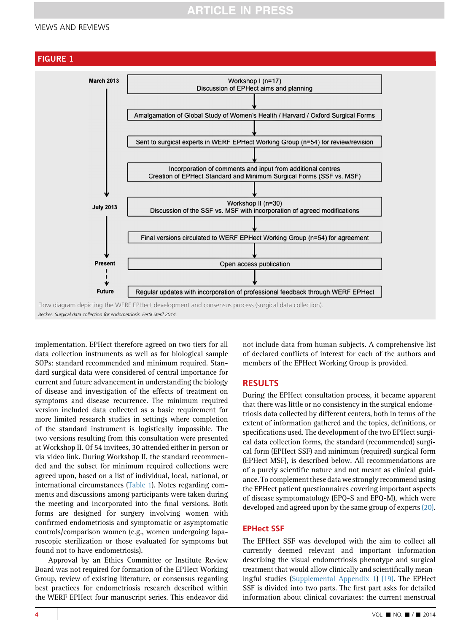#### <span id="page-3-0"></span>VIEWS AND REVIEWS



implementation. EPHect therefore agreed on two tiers for all data collection instruments as well as for biological sample SOPs: standard recommended and minimum required. Standard surgical data were considered of central importance for current and future advancement in understanding the biology of disease and investigation of the effects of treatment on symptoms and disease recurrence. The minimum required version included data collected as a basic requirement for more limited research studies in settings where completion of the standard instrument is logistically impossible. The two versions resulting from this consultation were presented at Workshop II. Of 54 invitees, 30 attended either in person or via video link. During Workshop II, the standard recommended and the subset for minimum required collections were agreed upon, based on a list of individual, local, national, or international circumstances ([Table 1\)](#page-4-0). Notes regarding comments and discussions among participants were taken during the meeting and incorporated into the final versions. Both forms are designed for surgery involving women with confirmed endometriosis and symptomatic or asymptomatic controls/comparison women (e.g., women undergoing laparoscopic sterilization or those evaluated for symptoms but found not to have endometriosis).

Approval by an Ethics Committee or Institute Review Board was not required for formation of the EPHect Working Group, review of existing literature, or consensus regarding best practices for endometriosis research described within the WERF EPHect four manuscript series. This endeavor did not include data from human subjects. A comprehensive list of declared conflicts of interest for each of the authors and members of the EPHect Working Group is provided.

## RESULTS

During the EPHect consultation process, it became apparent that there was little or no consistency in the surgical endometriosis data collected by different centers, both in terms of the extent of information gathered and the topics, definitions, or specifications used. The development of the two EPHect surgical data collection forms, the standard (recommended) surgical form (EPHect SSF) and minimum (required) surgical form (EPHect MSF), is described below. All recommendations are of a purely scientific nature and not meant as clinical guidance. To complement these data we strongly recommend using the EPHect patient questionnaires covering important aspects of disease symptomatology (EPQ-S and EPQ-M), which were developed and agreed upon by the same group of experts [\(20\).](#page-8-0)

#### EPHect SSF

The EPHect SSF was developed with the aim to collect all currently deemed relevant and important information describing the visual endometriosis phenotype and surgical treatment that would allow clinically and scientifically meaningful studies (Supplemental Appendix 1) [\(19\).](#page-8-0) The EPHect SSF is divided into two parts. The first part asks for detailed information about clinical covariates: the current menstrual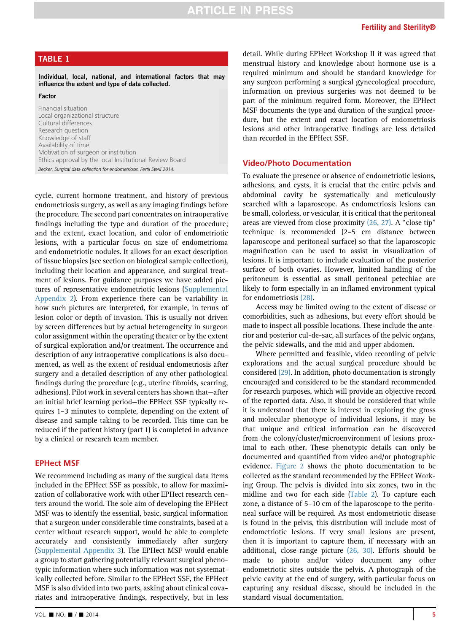## <span id="page-4-0"></span>TABLE 1

Individual, local, national, and international factors that may influence the extent and type of data collected.

#### Factor

Financial situation Local organizational structure Cultural differences Research question Knowledge of staff Availability of time Motivation of surgeon or institution Ethics approval by the local Institutional Review Board Becker. Surgical data collection for endometriosis. Fertil Steril 2014.

cycle, current hormone treatment, and history of previous endometriosis surgery, as well as any imaging findings before the procedure. The second part concentrates on intraoperative findings including the type and duration of the procedure; and the extent, exact location, and color of endometriotic lesions, with a particular focus on size of endometrioma and endometriotic nodules. It allows for an exact description of tissue biopsies (see section on biological sample collection), including their location and appearance, and surgical treatment of lesions. For guidance purposes we have added pictures of representative endometriotic lesions (Supplemental Appendix 2). From experience there can be variability in how such pictures are interpreted, for example, in terms of lesion color or depth of invasion. This is usually not driven by screen differences but by actual heterogeneity in surgeon color assignment within the operating theater or by the extent of surgical exploration and/or treatment. The occurrence and description of any intraoperative complications is also documented, as well as the extent of residual endometriosis after surgery and a detailed description of any other pathological findings during the procedure (e.g., uterine fibroids, scarring, adhesions). Pilot work in several centers has shown that—after an initial brief learning period—the EPHect SSF typically requires 1–3 minutes to complete, depending on the extent of disease and sample taking to be recorded. This time can be reduced if the patient history (part 1) is completed in advance by a clinical or research team member.

#### EPHect MSF

We recommend including as many of the surgical data items included in the EPHect SSF as possible, to allow for maximization of collaborative work with other EPHect research centers around the world. The sole aim of developing the EPHect MSF was to identify the essential, basic, surgical information that a surgeon under considerable time constraints, based at a center without research support, would be able to complete accurately and consistently immediately after surgery (Supplemental Appendix 3). The EPHect MSF would enable a group to start gathering potentially relevant surgical phenotypic information where such information was not systematically collected before. Similar to the EPHect SSF, the EPHect MSF is also divided into two parts, asking about clinical covariates and intraoperative findings, respectively, but in less

detail. While during EPHect Workshop II it was agreed that menstrual history and knowledge about hormone use is a required minimum and should be standard knowledge for any surgeon performing a surgical gynecological procedure, information on previous surgeries was not deemed to be part of the minimum required form. Moreover, the EPHect MSF documents the type and duration of the surgical procedure, but the extent and exact location of endometriosis lesions and other intraoperative findings are less detailed than recorded in the EPHect SSF.

#### Video/Photo Documentation

To evaluate the presence or absence of endometriotic lesions, adhesions, and cysts, it is crucial that the entire pelvis and abdominal cavity be systematically and meticulously searched with a laparoscope. As endometriosis lesions can be small, colorless, or vesicular, it is critical that the peritoneal areas are viewed from close proximity [\(26, 27\).](#page-8-0) A ''close tip'' technique is recommended (2–5 cm distance between laparoscope and peritoneal surface) so that the laparoscopic magnification can be used to assist in visualization of lesions. It is important to include evaluation of the posterior surface of both ovaries. However, limited handling of the peritoneum is essential as small peritoneal petechiae are likely to form especially in an inflamed environment typical for endometriosis [\(28\)](#page-8-0).

Access may be limited owing to the extent of disease or comorbidities, such as adhesions, but every effort should be made to inspect all possible locations. These include the anterior and posterior cul-de-sac, all surfaces of the pelvic organs, the pelvic sidewalls, and the mid and upper abdomen.

Where permitted and feasible, video recording of pelvic explorations and the actual surgical procedure should be considered [\(29\).](#page-8-0) In addition, photo documentation is strongly encouraged and considered to be the standard recommended for research purposes, which will provide an objective record of the reported data. Also, it should be considered that while it is understood that there is interest in exploring the gross and molecular phenotype of individual lesions, it may be that unique and critical information can be discovered from the colony/cluster/microenvironment of lesions proximal to each other. These phenotypic details can only be documented and quantified from video and/or photographic evidence. [Figure 2](#page-5-0) shows the photo documentation to be collected as the standard recommended by the EPHect Working Group. The pelvis is divided into six zones, two in the midline and two for each side ([Table 2\)](#page-6-0). To capture each zone, a distance of 5–10 cm of the laparoscope to the peritoneal surface will be required. As most endometriotic disease is found in the pelvis, this distribution will include most of endometriotic lesions. If very small lesions are present, then it is important to capture them, if necessary with an additional, close-range picture [\(26, 30\).](#page-8-0) Efforts should be made to photo and/or video document any other endometriotic sites outside the pelvis. A photograph of the pelvic cavity at the end of surgery, with particular focus on capturing any residual disease, should be included in the standard visual documentation.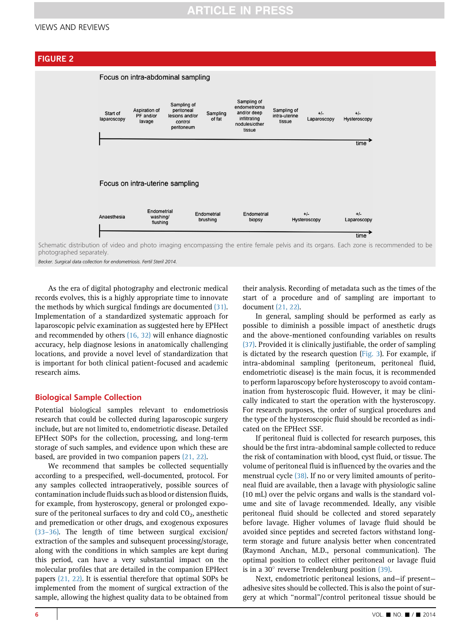#### <span id="page-5-0"></span>VIEWS AND REVIEWS





Schematic distribution of video and photo imaging encompassing the entire female pelvis and its organs. Each zone is recommended to be photographed separately.

Becker. Surgical data collection for endometriosis. Fertil Steril 2014.

As the era of digital photography and electronic medical records evolves, this is a highly appropriate time to innovate the methods by which surgical findings are documented [\(31\).](#page-8-0) Implementation of a standardized systematic approach for laparoscopic pelvic examination as suggested here by EPHect and recommended by others [\(16, 32\)](#page-8-0) will enhance diagnostic accuracy, help diagnose lesions in anatomically challenging locations, and provide a novel level of standardization that is important for both clinical patient-focused and academic research aims.

#### Biological Sample Collection

Potential biological samples relevant to endometriosis research that could be collected during laparoscopic surgery include, but are not limited to, endometriotic disease. Detailed EPHect SOPs for the collection, processing, and long-term storage of such samples, and evidence upon which these are based, are provided in two companion papers [\(21, 22\)](#page-8-0).

We recommend that samples be collected sequentially according to a prespecified, well-documented, protocol. For any samples collected intraoperatively, possible sources of contamination include fluids such as blood or distension fluids, for example, from hysteroscopy, general or prolonged exposure of the peritoneal surfaces to dry and cold  $CO<sub>2</sub>$ , anesthetic and premedication or other drugs, and exogenous exposures (33–[36\).](#page-8-0) The length of time between surgical excision/ extraction of the samples and subsequent processing/storage, along with the conditions in which samples are kept during this period, can have a very substantial impact on the molecular profiles that are detailed in the companion EPHect papers [\(21, 22\)](#page-8-0). It is essential therefore that optimal SOPs be implemented from the moment of surgical extraction of the sample, allowing the highest quality data to be obtained from

their analysis. Recording of metadata such as the times of the start of a procedure and of sampling are important to document [\(21, 22\)](#page-8-0).

In general, sampling should be performed as early as possible to diminish a possible impact of anesthetic drugs and the above-mentioned confounding variables on results [\(37\).](#page-8-0) Provided it is clinically justifiable, the order of sampling is dictated by the research question ([Fig. 3](#page-7-0)). For example, if intra-abdominal sampling (peritoneum, peritoneal fluid, endometriotic disease) is the main focus, it is recommended to perform laparoscopy before hysteroscopy to avoid contamination from hysteroscopic fluid. However, it may be clinically indicated to start the operation with the hysteroscopy. For research purposes, the order of surgical procedures and the type of the hysteroscopic fluid should be recorded as indicated on the EPHect SSF.

If peritoneal fluid is collected for research purposes, this should be the first intra-abdominal sample collected to reduce the risk of contamination with blood, cyst fluid, or tissue. The volume of peritoneal fluid is influenced by the ovaries and the menstrual cycle [\(38\)](#page-9-0). If no or very limited amounts of peritoneal fluid are available, then a lavage with physiologic saline (10 mL) over the pelvic organs and walls is the standard volume and site of lavage recommended. Ideally, any visible peritoneal fluid should be collected and stored separately before lavage. Higher volumes of lavage fluid should be avoided since peptides and secreted factors withstand longterm storage and future analysis better when concentrated (Raymond Anchan, M.D., personal communication). The optimal position to collect either peritoneal or lavage fluid is in a 30 $^{\circ}$  reverse Trendelenburg position [\(39\)](#page-9-0).

Next, endometriotic peritoneal lesions, and—if present adhesive sites should be collected. This is also the point of surgery at which ''normal''/control peritoneal tissue should be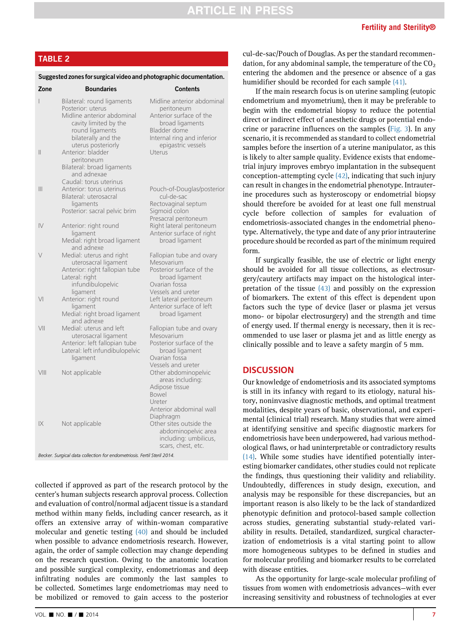## <span id="page-6-0"></span>TABLE 2

| - - 00 - -<br>Zone                                                        | <b>Boundaries</b>                                                                                                                                                      | <b>Contents</b>                                                                                                                                            |
|---------------------------------------------------------------------------|------------------------------------------------------------------------------------------------------------------------------------------------------------------------|------------------------------------------------------------------------------------------------------------------------------------------------------------|
|                                                                           | Bilateral: round ligaments<br>Posterior: uterus<br>Midline anterior abdominal<br>cavity limited by the<br>round ligaments<br>bilaterally and the<br>uterus posteriorly | Midline anterior abdominal<br>peritoneum<br>Anterior surface of the<br>broad ligaments<br>Bladder dome<br>Internal ring and inferior<br>epigastric vessels |
| $\label{eq:1} \prod_{i=1}^n \left\{ \prod_{i=1}^n \frac{1}{n_i} \right\}$ | Anterior: bladder<br>peritoneum<br>Bilateral: broad ligaments<br>and adnexae<br>Caudal: torus uterinus                                                                 | Uterus                                                                                                                                                     |
| $\mathbb{H}$                                                              | Anterior: torus uterinus<br>Bilateral: uterosacral<br>ligaments<br>Posterior: sacral pelvic brim                                                                       | Pouch-of-Douglas/posterior<br>cul-de-sac<br>Rectovaginal septum<br>Sigmoid colon<br>Presacral peritoneum                                                   |
| IV                                                                        | Anterior: right round<br>ligament<br>Medial: right broad ligament<br>and adnexe                                                                                        | Right lateral peritoneum<br>Anterior surface of right<br>broad ligament                                                                                    |
|                                                                           | Medial: uterus and right<br>uterosacral ligament<br>Anterior: right fallopian tube<br>Lateral: right<br>infundibulopelvic                                              | Fallopian tube and ovary<br>Mesovarium<br>Posterior surface of the<br>broad ligament<br>Ovarian fossa<br>Vessels and ureter                                |
| VI                                                                        | ligament<br>Anterior: right round<br>ligament<br>Medial: right broad ligament<br>and adnexe                                                                            | Left lateral peritoneum<br>Anterior surface of left<br>broad ligament                                                                                      |
| VII                                                                       | Medial: uterus and left<br>uterosacral ligament<br>Anterior: left fallopian tube<br>Lateral: left infundibulopelvic<br>ligament                                        | Fallopian tube and ovary<br>Mesovarium<br>Posterior surface of the<br>broad ligament<br>Ovarian fossa<br>Vessels and ureter                                |
| VIII                                                                      | Not applicable                                                                                                                                                         | Other abdominopelvic<br>areas including:<br>Adipose tissue<br>Bowel<br>Ureter<br>Anterior abdominal wall<br>Diaphragm                                      |
| IX                                                                        | Not applicable                                                                                                                                                         | Other sites outside the<br>abdominopelvic area<br>including: umbilicus,<br>scars, chest, etc.                                                              |
| Becker. Surgical data collection for endometriosis. Fertil Steril 2014.   |                                                                                                                                                                        |                                                                                                                                                            |

Suggested zones for surgical video and photographic documentation.

collected if approved as part of the research protocol by the center's human subjects research approval process. Collection and evaluation of control/normal adjacent tissue is a standard method within many fields, including cancer research, as it offers an extensive array of within-woman comparative molecular and genetic testing [\(40\)](#page-9-0) and should be included when possible to advance endometriosis research. However, again, the order of sample collection may change depending on the research question. Owing to the anatomic location and possible surgical complexity, endometriomas and deep infiltrating nodules are commonly the last samples to be collected. Sometimes large endometriomas may need to be mobilized or removed to gain access to the posterior

cul-de-sac/Pouch of Douglas. As per the standard recommendation, for any abdominal sample, the temperature of the  $CO<sub>2</sub>$ entering the abdomen and the presence or absence of a gas humidifier should be recorded for each sample [\(41\)](#page-9-0).

If the main research focus is on uterine sampling (eutopic endometrium and myometrium), then it may be preferable to begin with the endometrial biopsy to reduce the potential direct or indirect effect of anesthetic drugs or potential endocrine or paracrine influences on the samples [\(Fig. 3\)](#page-7-0). In any scenario, it is recommended as standard to collect endometrial samples before the insertion of a uterine manipulator, as this is likely to alter sample quality. Evidence exists that endometrial injury improves embryo implantation in the subsequent conception-attempting cycle [\(42\)](#page-9-0), indicating that such injury can result in changes in the endometrial phenotype. Intrauterine procedures such as hysteroscopy or endometrial biopsy should therefore be avoided for at least one full menstrual cycle before collection of samples for evaluation of endometriosis-associated changes in the endometrial phenotype. Alternatively, the type and date of any prior intrauterine procedure should be recorded as part of the minimum required form.

If surgically feasible, the use of electric or light energy should be avoided for all tissue collections, as electrosurgery/cautery artifacts may impact on the histological interpretation of the tissue [\(43\)](#page-9-0) and possibly on the expression of biomarkers. The extent of this effect is dependent upon factors such the type of device (laser or plasma jet versus mono- or bipolar electrosurgery) and the strength and time of energy used. If thermal energy is necessary, then it is recommended to use laser or plasma jet and as little energy as clinically possible and to leave a safety margin of 5 mm.

### **DISCUSSION**

Our knowledge of endometriosis and its associated symptoms is still in its infancy with regard to its etiology, natural history, noninvasive diagnostic methods, and optimal treatment modalities, despite years of basic, observational, and experimental (clinical trial) research. Many studies that were aimed at identifying sensitive and specific diagnostic markers for endometriosis have been underpowered, had various methodological flaws, or had uninterpretable or contradictory results [\(14\).](#page-8-0) While some studies have identified potentially interesting biomarker candidates, other studies could not replicate the findings, thus questioning their validity and reliability. Undoubtedly, differences in study design, execution, and analysis may be responsible for these discrepancies, but an important reason is also likely to be the lack of standardized phenotypic definition and protocol-based sample collection across studies, generating substantial study-related variability in results. Detailed, standardized, surgical characterization of endometriosis is a vital starting point to allow more homogeneous subtypes to be defined in studies and for molecular profiling and biomarker results to be correlated with disease entities.

As the opportunity for large-scale molecular profiling of tissues from women with endometriosis advances—with ever increasing sensitivity and robustness of technologies at ever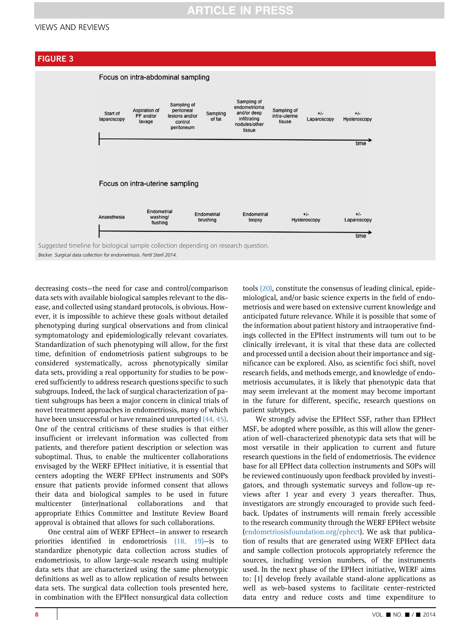#### <span id="page-7-0"></span>VIEWS AND REVIEWS





Becker. Surgical data collection for endometriosis. Fertil Steril 2014.

decreasing costs—the need for case and control/comparison data sets with available biological samples relevant to the disease, and collected using standard protocols, is obvious. However, it is impossible to achieve these goals without detailed phenotyping during surgical observations and from clinical symptomatology and epidemiologically relevant covariates. Standardization of such phenotyping will allow, for the first time, definition of endometriosis patient subgroups to be considered systematically, across phenotypically similar data sets, providing a real opportunity for studies to be powered sufficiently to address research questions specific to such subgroups. Indeed, the lack of surgical characterization of patient subgroups has been a major concern in clinical trials of novel treatment approaches in endometriosis, many of which have been unsuccessful or have remained unreported [\(44, 45\).](#page-9-0) One of the central criticisms of these studies is that either insufficient or irrelevant information was collected from patients, and therefore patient description or selection was suboptimal. Thus, to enable the multicenter collaborations envisaged by the WERF EPHect initiative, it is essential that centers adopting the WERF EPHect instruments and SOPs ensure that patients provide informed consent that allows their data and biological samples to be used in future multicenter (inter)national collaborations and that appropriate Ethics Committee and Institute Review Board approval is obtained that allows for such collaborations.

One central aim of WERF EPHect—in answer to research priorities identified in endometriosis [\(18, 19\)](#page-8-0)—is to standardize phenotypic data collection across studies of endometriosis, to allow large-scale research using multiple data sets that are characterized using the same phenotypic definitions as well as to allow replication of results between data sets. The surgical data collection tools presented here, in combination with the EPHect nonsurgical data collection

tools [\(20\),](#page-8-0) constitute the consensus of leading clinical, epidemiological, and/or basic science experts in the field of endometriosis and were based on extensive current knowledge and anticipated future relevance. While it is possible that some of the information about patient history and intraoperative findings collected in the EPHect instruments will turn out to be clinically irrelevant, it is vital that these data are collected and processed until a decision about their importance and significance can be explored. Also, as scientific foci shift, novel research fields, and methods emerge, and knowledge of endometriosis accumulates, it is likely that phenotypic data that may seem irrelevant at the moment may become important in the future for different, specific, research questions on patient subtypes.

We strongly advise the EPHect SSF, rather than EPHect MSF, be adopted where possible, as this will allow the generation of well-characterized phenotypic data sets that will be most versatile in their application to current and future research questions in the field of endometriosis. The evidence base for all EPHect data collection instruments and SOPs will be reviewed continuously upon feedback provided by investigators, and through systematic surveys and follow-up reviews after 1 year and every 3 years thereafter. Thus, investigators are strongly encouraged to provide such feedback. Updates of instruments will remain freely accessible to the research community through the WERF EPHect website (endometriosisfoundation.org/ephect). We ask that publication of results that are generated using WERF EPHect data and sample collection protocols appropriately reference the sources, including version numbers, of the instruments used. In the next phase of the EPHect initiative, WERF aims to: [1] develop freely available stand-alone applications as well as web-based systems to facilitate center-restricted data entry and reduce costs and time expenditure to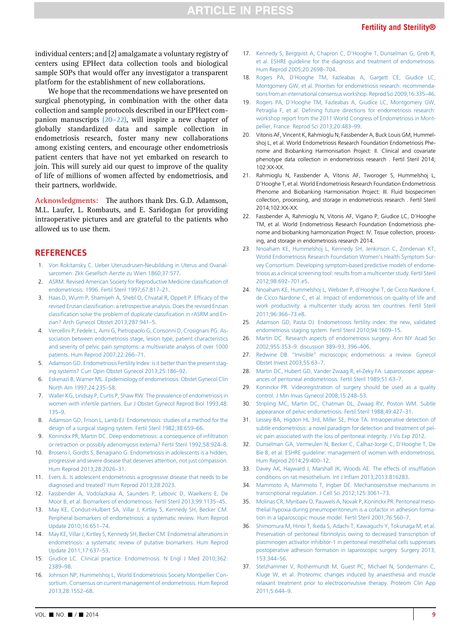<span id="page-8-0"></span>individual centers; and [2] amalgamate a voluntary registry of centers using EPHect data collection tools and biological sample SOPs that would offer any investigator a transparent platform for the establishment of new collaborations.

We hope that the recommendations we have presented on surgical phenotyping, in combination with the other data collection and sample protocols described in our EPHect companion manuscripts (20–22), will inspire a new chapter of globally standardized data and sample collection in endometriosis research, foster many new collaborations among existing centers, and encourage other endometriosis patient centers that have not yet embarked on research to join. This will surely aid our quest to improve of the quality of life of millions of women affected by endometriosis, and their partners, worldwide.

Acknowledgments: The authors thank Drs. G.D. Adamson, M.L. Laufer, L. Rombauts, and E. Saridogan for providing intraoperative pictures and are grateful to the patients who allowed us to use them.

#### **REFERENCES**

- 1. Von Rokitansky C. Ueber Uterusdrusen-Neubildung in Uterus and Ovarialsarcomen. Zkk Gesellsch Aerzte zu Wien 1860;37:577.
- 2. ASRM. Revised American Society for Reproductive Medicine classification of endometriosis: 1996. Fertil Steril 1997;67:817–21.
- 3. Haas D, Wurm P, Shamiyeh A, Shebl O, Chvatal R, Oppelt P. Efficacy of the revised Enzian classification: a retrospective analysis. Does the revised Enzian classification solve the problem of duplicate classification in rASRM and Enzian? Arch Gynecol Obstet 2013;287:941–5.
- 4. Vercellini P, Fedele L, Aimi G, Pietropaolo G, Consonni D, Crosignani PG. Association between endometriosis stage, lesion type, patient characteristics and severity of pelvic pain symptoms: a multivariate analysis of over 1000 patients. Hum Reprod 2007;22:266–71.
- 5. Adamson GD. Endometriosis Fertility Index: is it better than the present staging systems? Curr Opin Obstet Gynecol 2013;25:186–92.
- 6. Eskenazi B, Warner ML. Epidemiology of endometriosis. Obstet Gynecol Clin North Am 1997;24:235–58.
- 7. Waller KG, Lindsay P, Curtis P, Shaw RW. The prevalence of endometriosis in women with infertile partners. Eur J Obstet Gynecol Reprod Biol 1993;48: 135–9.
- 8. Adamson GD, Frison L, Lamb EJ. Endometriosis: studies of a method for the design of a surgical staging system. Fertil Steril 1982;38:659–66.
- 9. Koninckx PR, Martin DC. Deep endometriosis: a consequence of infiltration or retraction or possibly adenomyosis externa? Fertil Steril 1992;58:924–8.
- 10. Brosens I, Gordts S, Benagiano G. Endometriosis in adolescents is a hidden, progressive and severe disease that deserves attention, not just compassion. Hum Reprod 2013;28:2026–31.
- 11. Evers JL. Is adolescent endometriosis a progressive disease that needs to be diagnosed and treated? Hum Reprod 2013;28:2023.
- 12. Fassbender A, Vodolazkaia A, Saunders P, Lebovic D, Waelkens E, De Moor B, et al. Biomarkers of endometriosis. Fertil Steril 2013;99:1135–45.
- 13. May KE, Conduit-Hulbert SA, Villar J, Kirtley S, Kennedy SH, Becker CM. Peripheral biomarkers of endometriosis: a systematic review. Hum Reprod Update 2010;16:651–74.
- 14. May KE, Villar J, Kirtley S, Kennedy SH, Becker CM. Endometrial alterations in endometriosis: a systematic review of putative biomarkers. Hum Reprod Update 2011;17:637–53.
- 15. Giudice LC. Clinical practice. Endometriosis. N Engl J Med 2010;362: 2389–98.
- 16. Johnson NP, Hummelshoj L, World Endometriosis Society Montpellier Consortium. Consensus on current management of endometriosis. Hum Reprod 2013;28:1552–68.
- 17. Kennedy S, Bergqvist A, Chapron C, D'Hooghe T, Dunselman G, Greb R, et al. ESHRE guideline for the diagnosis and treatment of endometriosis. Hum Reprod 2005;20:2698–704.
- 18. Rogers PA, D'Hooghe TM, Fazleabas A, Gargett CE, Giudice LC, Montgomery GW, et al. Priorities for endometriosis research: recommendations from an international consensus workshop. Reprod Sci 2009;16:335–46.
- 19. Rogers PA, D'Hooghe TM, Fazleabas A, Giudice LC, Montgomery GW, Petraglia F, et al. Defining future directions for endometriosis research: workshop report from the 2011 World Congress of Endometriosis in Montpellier, France. Reprod Sci 2013;20:483–99.
- 20. Vitonis AF, Vincent K, Rahmioglu N, Fassbender A, Buck Louis GM, Hummelshoj L, et al. World Endometriosis Research Foundation Endometriosis Phenome and Biobanking Harmonisation Project: II. Clinical and covariate phenotype data collection in endometriosis research . Fertil Steril 2014; 102:XX-XX.
- 21. Rahmioglu N, Fassbender A, Vitonis AF, Tworoger S, Hummelshoj L, D'Hooghe T, et al. World Endometriosis Research Foundation Endometriosis Phenome and Biobanking Harmonisation Project: III. Fluid biospecimen collection, processing, and storage in endometriosis research . Fertil Steril 2014;102:XX-XX.
- 22. Fassbender A, Rahmioglu N, Vitonis AF, Vigano P, Giudice LC, D'Hooghe TM, et al. World Endometriosis Research Foundation Endometriosis phenome and biobanking harmonization Project: IV. Tissue collection, processing, and storage in endometriosis research 2014.
- 23. Nnoaham KE, Hummelshoj L, Kennedy SH, Jenkinson C, Zondervan KT, World Endometriosis Research Foundation Women's Health Symptom Survey Consortium. Developing symptom-based predictive models of endometriosis as a clinical screening tool: results from a multicenter study. Fertil Steril 2012;98:692–701.e5.
- 24. Nnoaham KE, Hummelshoj L, Webster P, d'Hooghe T, de Cicco Nardone F, de Cicco Nardone C, et al. Impact of endometriosis on quality of life and work productivity: a multicenter study across ten countries. Fertil Steril 2011;96:366–73.e8.
- 25. Adamson GD, Pasta DJ. Endometriosis fertility index: the new, validated endometriosis staging system. Fertil Steril 2010;94:1609–15.
- 26. Martin DC. Research aspects of endometriosis surgery. Ann NY Acad Sci 2002;955:353–9. discussion 389–93, 396–406.
- 27. Redwine DB. ''Invisible'' microscopic endometriosis: a review. Gynecol Obstet Invest 2003;55:63–7.
- 28. Martin DC, Hubert GD, Vander Zwaag R, el-Zeky FA. Laparoscopic appearances of peritoneal endometriosis. Fertil Steril 1989;51:63–7.
- 29. Koninckx PR. Videoregistration of surgery should be used as a quality control. J Min Invas Gynecol 2008;15:248–53.
- 30. Stripling MC, Martin DC, Chatman DL, Zwaag RV, Poston WM. Subtle appearance of pelvic endometriosis. Fertil Steril 1988;49:427–31.
- 31. Lessey BA, Higdon HL 3rd, Miller SE, Price TA. Intraoperative detection of subtle endometriosis: a novel paradigm for detection and treatment of pelvic pain associated with the loss of peritoneal integrity. J Vis Exp 2012.
- 32. Dunselman GA, Vermeulen N, Becker C, Calhaz-Jorge C, D'Hooghe T, De Bie B, et al. ESHRE guideline: management of women with endometriosis. Hum Reprod 2014;29:400–12.
- 33. Davey AK, Hayward J, Marshall JK, Woods AE. The effects of insufflation conditions on rat mesothelium. Int J Inflam 2013;2013:816283.
- 34. Mammoto A, Mammoto T, Ingber DE. Mechanosensitive mechanisms in transcriptional regulation. J Cell Sci 2012;125:3061–73.
- 35. Molinas CR, Mynbaev O, Pauwels A, Novak P, Koninckx PR. Peritoneal mesothelial hypoxia during pneumoperitoneum is a cofactor in adhesion formation in a laparoscopic mouse model. Fertil Steril 2001;76:560–7.
- 36. Shimomura M, Hinoi T, Ikeda S, Adachi T, Kawaguchi Y, Tokunaga M, et al. Preservation of peritoneal fibrinolysis owing to decreased transcription of plasminogen activator inhibitor-1 in peritoneal mesothelial cells suppresses postoperative adhesion formation in laparoscopic surgery. Surgery 2013; 153:344–56.
- 37. Stelzhammer V, Rothermundt M, Guest PC, Michael N, Sondermann C, Kluge W, et al. Proteomic changes induced by anaesthesia and muscle relaxant treatment prior to electroconvulsive therapy. Proteom Clin App 2011;5:644–9.